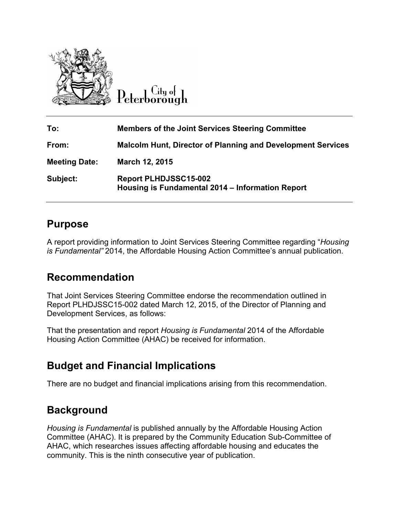

Citu of Peterborough

| To:                  | <b>Members of the Joint Services Steering Committee</b>                          |
|----------------------|----------------------------------------------------------------------------------|
| From:                | <b>Malcolm Hunt, Director of Planning and Development Services</b>               |
| <b>Meeting Date:</b> | March 12, 2015                                                                   |
| Subject:             | <b>Report PLHDJSSC15-002</b><br>Housing is Fundamental 2014 – Information Report |

### **Purpose**

A report providing information to Joint Services Steering Committee regarding "*Housing is Fundamental"* 2014, the Affordable Housing Action Committee's annual publication.

## **Recommendation**

That Joint Services Steering Committee endorse the recommendation outlined in Report PLHDJSSC15-002 dated March 12, 2015, of the Director of Planning and Development Services, as follows:

That the presentation and report *Housing is Fundamental* 2014 of the Affordable Housing Action Committee (AHAC) be received for information.

# **Budget and Financial Implications**

There are no budget and financial implications arising from this recommendation.

# **Background**

*Housing is Fundamental* is published annually by the Affordable Housing Action Committee (AHAC). It is prepared by the Community Education Sub-Committee of AHAC, which researches issues affecting affordable housing and educates the community. This is the ninth consecutive year of publication.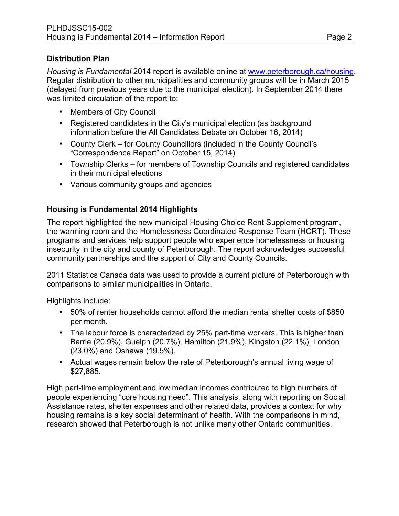#### **Distribution Plan**

*Housing is Fundamental* 2014 report is available online at [www.peterborough.ca/housing.](http://www.peterborough.ca/housing) Regular distribution to other municipalities and community groups will be in March 2015 (delayed from previous years due to the municipal election). In September 2014 there was limited circulation of the report to:

- Members of City Council
- Registered candidates in the City's municipal election (as background information before the All Candidates Debate on October 16, 2014)
- County Clerk for County Councillors (included in the County Council's "Correspondence Report" on October 15, 2014)
- Township Clerks for members of Township Councils and registered candidates in their municipal elections
- Various community groups and agencies

#### **Housing is Fundamental 2014 Highlights**

The report highlighted the new municipal Housing Choice Rent Supplement program, the warming room and the Homelessness Coordinated Response Team (HCRT). These programs and services help support people who experience homelessness or housing insecurity in the city and county of Peterborough. The report acknowledges successful community partnerships and the support of City and County Councils.

2011 Statistics Canada data was used to provide a current picture of Peterborough with comparisons to similar municipalities in Ontario.

Highlights include:

- 50% of renter households cannot afford the median rental shelter costs of \$850 per month.
- The labour force is characterized by 25% part-time workers. This is higher than Barrie (20.9%), Guelph (20.7%), Hamilton (21.9%), Kingston (22.1%), London (23.0%) and Oshawa (19.5%).
- Actual wages remain below the rate of Peterborough's annual living wage of \$27,885.

High part-time employment and low median incomes contributed to high numbers of people experiencing "core housing need". This analysis, along with reporting on Social Assistance rates, shelter expenses and other related data, provides a context for why housing remains is a key social determinant of health. With the comparisons in mind, research showed that Peterborough is not unlike many other Ontario communities.